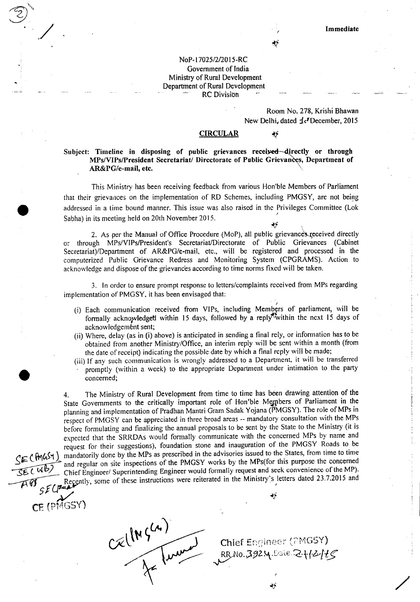~

 $\gamma$  ,

## NoP-17025/2/2015-RC Government of India Ministry of Rural Development Department of Rural Development RC Division

# Room No. 278, Krishi Bhawan New Delhi, dated  $\text{\AA}$ <sup>r</sup> December, 2015

#### **CIRCULAR**

## Subject: Timeline in disposing of public grievances received-directly or through MPs/VIPs/President Secretariat/ Directorate of Public Grievances, Department of AR&PG/e-mail, etc.

This Ministry has been receiving feedback from various Hon'ble Members of Parliament that their grievances on the implementation of RD Schemes, including PMGSY, are not being addressed in a time bound manner. This issue was also raised in the Privileges Committee (Lok Sabha) in its meeting held on 20th November 2015.

2. As per the Manual of Office Procedure (MoP), all public grievances received directly or through MPs/VIPs/President's Secretariat/Directorate of Public Grievances (Cabinet Secretariat)/Department of AR&PG/e-mail, etc., will be registered and processed in the computerized Public Grievance Redress and Monitoring System (CPGRAMS). Action to acknowledge and dispose of the grievances according to time norms fixed will be taken.

3. In order to ensure prompt response to letters/complaints received from MPs regarding implementation of PMGSY, it has been envisaged that:

- *I* (i) Each communication received from VIPs, including Members of parliament, will be formally acknowledged within 15 days, followed by a reply within the next 15 days of acknowledgement sent;
- (ii) Where, delay (as in (i) above) is anticipated in sending a final rely, or information has to be obtained from another Ministry/Office, an interim reply will be sent within a month (from the date of receipt) indicating the possible date by which a final reply will be made;
- (iii) If any such communication is wrongly addressed to a Department, it wiII be transferred promptly (within a week) to the appropriate Department under intimation to the party concerned;

4. The Ministry of Rural Development from time to time has been drawing attention of the State Governments to the critically important role of Hon'ble Members of Parliament in the planning and implementation of Pradhan Mantri Gram Sadak Yojana (PMGSY). The role of MPs in respect of PMGSY can be appreciated in three broad areas -- mandatory consultation with the MPs before formulating and finalizing the annual proposals to be sent by the State to the Ministry (it is expected that the SRRDAs would formally communicate with the concerned MPs by name and request for their suggestions), foundation stone and inauguration of the PMGSY Roads to be *~~ (Rv\fA~'1)* mandatorily done by the MPs as prescribed in the advisories issued to the States, from time to time and regular on site inspections of the PMGSY works by the MPs(for this purpose the concerned<br>Chief Engineer/ Superintending Engineer would formally request and seek convenience of the MP). Chief Engineer/ Superintending Engineer would formally request and seek convenience of the MP). Recently, some of these instructions were reiterated in the Ministry's letters dated 23.7.2015 and

CELINGLA)

CE (PMGSY)

*:,v '\*f*

**Chief Engineer (PMGSY)** RRNO.39254.Date.2112115

/